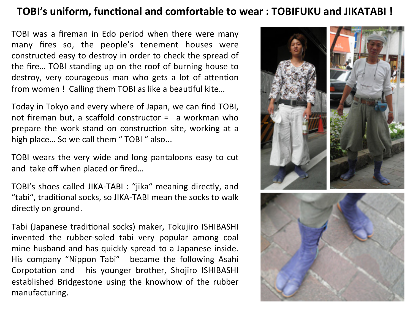### **TOBI's uniform, functional and comfortable to wear: TOBIFUKU and JIKATABI!**

TOBI was a fireman in Edo period when there were many many fires so, the people's tenement houses were constructed easy to destroy in order to check the spread of the fire... TOBI standing up on the roof of burning house to destroy, very courageous man who gets a lot of attention from women ! Calling them TOBI as like a beautiful kite...

Today in Tokyo and every where of Japan, we can find TOBI, not fireman but, a scaffold constructor =  $a$  workman who prepare the work stand on construction site, working at a high place... So we call them "TOBI " also...

TOBI wears the very wide and long pantaloons easy to cut and take off when placed or fired...

TOBI's shoes called JIKA-TABI : "jika" meaning directly, and "tabi", traditional socks, so JIKA-TABI mean the socks to walk directly on ground.

Tabi (Japanese traditional socks) maker, Tokujiro ISHIBASHI invented the rubber-soled tabi very popular among coal mine husband and has quickly spread to a Japanese inside. His company "Nippon Tabi" became the following Asahi Corpotation and his younger brother, Shojiro ISHIBASHI established Bridgestone using the knowhow of the rubber manufacturing.

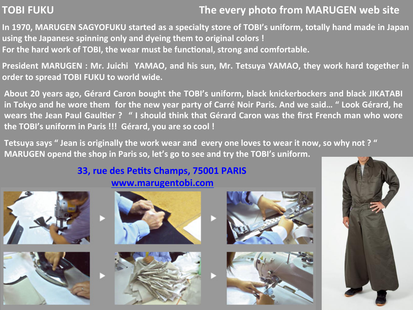# **TOBI FUKU**

## The every photo from MARUGEN web site

In 1970, MARUGEN SAGYOFUKU started as a specialty store of TOBI's uniform, totally hand made in Japan using the Japanese spinning only and dyeing them to original colors! For the hard work of TOBI, the wear must be functional, strong and comfortable.

President MARUGEN: Mr. Juichi YAMAO, and his sun, Mr. Tetsuya YAMAO, they work hard together in order to spread TOBI FUKU to world wide.

About 20 years ago, Gérard Caron bought the TOBI's uniform, black knickerbockers and black JIKATABI in Tokyo and he wore them for the new year party of Carré Noir Paris. And we said... " Look Gérard, he Wears the Jean Paul Gaultier? "I should think that Gérard Caron was the first French man who wore the TOBI's uniform in Paris !!! Gérard, you are so cool !

Tetsuya says " Jean is originally the work wear and every one loves to wear it now, so why not ? " **MARUGEN** opend the shop in Paris so, let's go to see and try the TOBI's uniform.

## **33, rue des Petits Champs, 75001 PARIS www.marugentobi.com''**